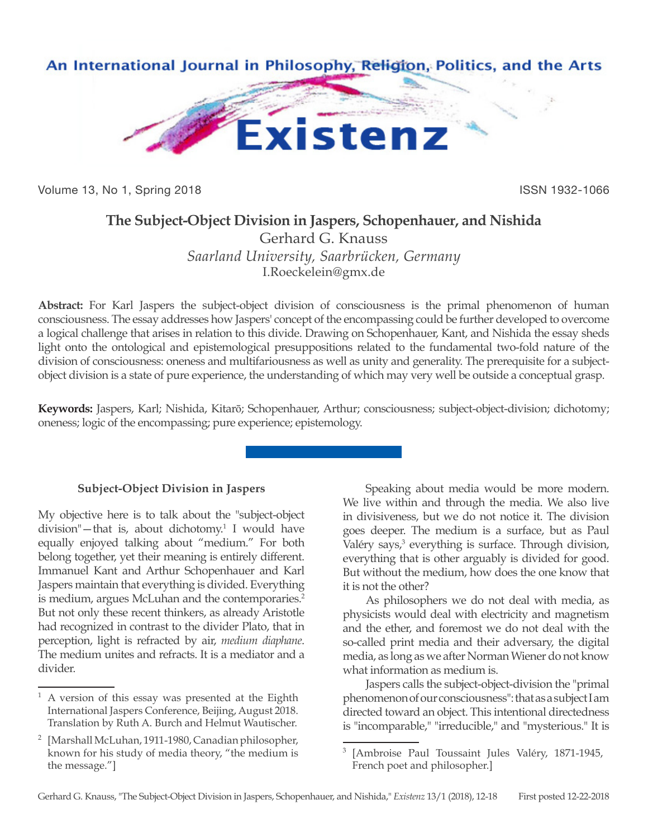

Volume 13, No 1, Spring 2018 **ISSN 1932-1066** ISSN 1932-1066

## **The Subject-Object Division in Jaspers, Schopenhauer, and Nishida**

Gerhard G. Knauss *Saarland University, Saarbrücken, Germany* I.Roeckelein@gmx.de

**Abstract:** For Karl Jaspers the subject-object division of consciousness is the primal phenomenon of human consciousness. The essay addresses how Jaspers' concept of the encompassing could be further developed to overcome a logical challenge that arises in relation to this divide. Drawing on Schopenhauer, Kant, and Nishida the essay sheds light onto the ontological and epistemological presuppositions related to the fundamental two-fold nature of the division of consciousness: oneness and multifariousness as well as unity and generality. The prerequisite for a subjectobject division is a state of pure experience, the understanding of which may very well be outside a conceptual grasp.

**Keywords:** Jaspers, Karl; Nishida, Kitarō; Schopenhauer, Arthur; consciousness; subject-object-division; dichotomy; oneness; logic of the encompassing; pure experience; epistemology.

## **Subject-Object Division in Jaspers**

My objective here is to talk about the "subject-object division"—that is, about dichotomy.1 I would have equally enjoyed talking about "medium." For both belong together, yet their meaning is entirely different. Immanuel Kant and Arthur Schopenhauer and Karl Jaspers maintain that everything is divided. Everything is medium, argues McLuhan and the contemporaries.<sup>2</sup> But not only these recent thinkers, as already Aristotle had recognized in contrast to the divider Plato, that in perception, light is refracted by air, *medium diaphane*. The medium unites and refracts. It is a mediator and a divider.

Speaking about media would be more modern. We live within and through the media. We also live in divisiveness, but we do not notice it. The division goes deeper. The medium is a surface, but as Paul Valéry says,<sup>3</sup> everything is surface. Through division, everything that is other arguably is divided for good. But without the medium, how does the one know that it is not the other?

As philosophers we do not deal with media, as physicists would deal with electricity and magnetism and the ether, and foremost we do not deal with the so-called print media and their adversary, the digital media, as long as we after Norman Wiener do not know what information as medium is.

Jaspers calls the subject-object-division the "primal phenomenon of our consciousness": that as a subject I am directed toward an object. This intentional directedness is "incomparable," "irreducible," and "mysterious." It is

<sup>1</sup> A version of this essay was presented at the Eighth International Jaspers Conference, Beijing, August 2018. Translation by Ruth A. Burch and Helmut Wautischer.

<sup>2</sup> [Marshall McLuhan, 1911-1980, Canadian philosopher, known for his study of media theory, "the medium is the message."]

<sup>3</sup> [Ambroise Paul Toussaint Jules Valéry, 1871-1945, French poet and philosopher.]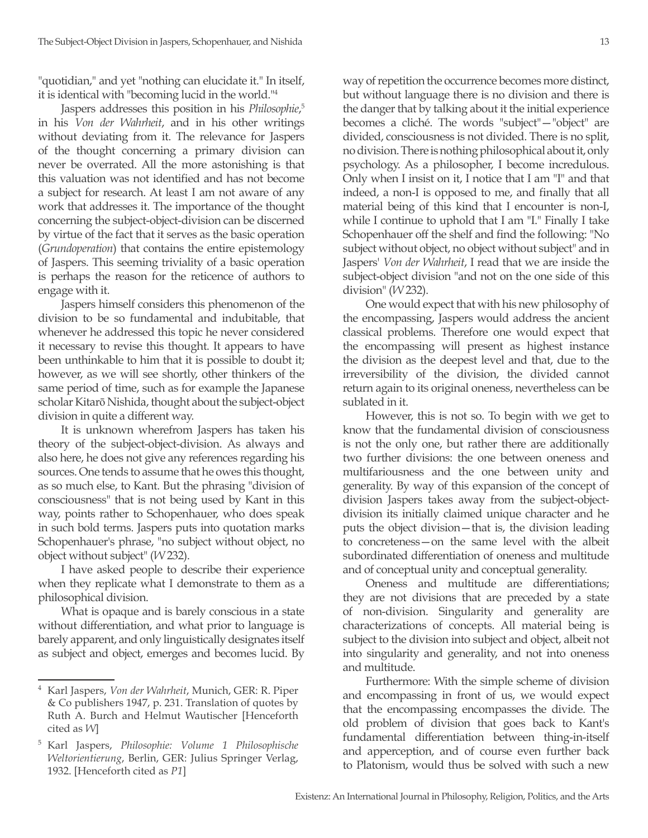"quotidian," and yet "nothing can elucidate it." In itself, it is identical with "becoming lucid in the world."4

Jaspers addresses this position in his *Philosophie*, 5 in his *Von der Wahrheit*, and in his other writings without deviating from it. The relevance for Jaspers of the thought concerning a primary division can never be overrated. All the more astonishing is that this valuation was not identified and has not become a subject for research. At least I am not aware of any work that addresses it. The importance of the thought concerning the subject-object-division can be discerned by virtue of the fact that it serves as the basic operation (*Grundoperation*) that contains the entire epistemology of Jaspers. This seeming triviality of a basic operation is perhaps the reason for the reticence of authors to engage with it.

Jaspers himself considers this phenomenon of the division to be so fundamental and indubitable, that whenever he addressed this topic he never considered it necessary to revise this thought. It appears to have been unthinkable to him that it is possible to doubt it; however, as we will see shortly, other thinkers of the same period of time, such as for example the Japanese scholar Kitarō Nishida, thought about the subject-object division in quite a different way.

It is unknown wherefrom Jaspers has taken his theory of the subject-object-division. As always and also here, he does not give any references regarding his sources. One tends to assume that he owes this thought, as so much else, to Kant. But the phrasing "division of consciousness" that is not being used by Kant in this way, points rather to Schopenhauer, who does speak in such bold terms. Jaspers puts into quotation marks Schopenhauer's phrase, "no subject without object, no object without subject" (*W* 232).

I have asked people to describe their experience when they replicate what I demonstrate to them as a philosophical division.

What is opaque and is barely conscious in a state without differentiation, and what prior to language is barely apparent, and only linguistically designates itself as subject and object, emerges and becomes lucid. By way of repetition the occurrence becomes more distinct, but without language there is no division and there is the danger that by talking about it the initial experience becomes a cliché. The words "subject"—"object" are divided, consciousness is not divided. There is no split, no division. There is nothing philosophical about it, only psychology. As a philosopher, I become incredulous. Only when I insist on it, I notice that I am "I" and that indeed, a non-I is opposed to me, and finally that all material being of this kind that I encounter is non-I, while I continue to uphold that I am "I." Finally I take Schopenhauer off the shelf and find the following: "No subject without object, no object without subject" and in Jaspers' *Von der Wahrheit*, I read that we are inside the subject-object division "and not on the one side of this division" (*W* 232).

One would expect that with his new philosophy of the encompassing, Jaspers would address the ancient classical problems. Therefore one would expect that the encompassing will present as highest instance the division as the deepest level and that, due to the irreversibility of the division, the divided cannot return again to its original oneness, nevertheless can be sublated in it.

However, this is not so. To begin with we get to know that the fundamental division of consciousness is not the only one, but rather there are additionally two further divisions: the one between oneness and multifariousness and the one between unity and generality. By way of this expansion of the concept of division Jaspers takes away from the subject-objectdivision its initially claimed unique character and he puts the object division—that is, the division leading to concreteness—on the same level with the albeit subordinated differentiation of oneness and multitude and of conceptual unity and conceptual generality.

Oneness and multitude are differentiations; they are not divisions that are preceded by a state of non-division. Singularity and generality are characterizations of concepts. All material being is subject to the division into subject and object, albeit not into singularity and generality, and not into oneness and multitude.

Furthermore: With the simple scheme of division and encompassing in front of us, we would expect that the encompassing encompasses the divide. The old problem of division that goes back to Kant's fundamental differentiation between thing-in-itself and apperception, and of course even further back to Platonism, would thus be solved with such a new

<sup>4</sup> Karl Jaspers, *Von der Wahrheit*, Munich, GER: R. Piper & Co publishers 1947, p. 231. Translation of quotes by Ruth A. Burch and Helmut Wautischer [Henceforth cited as *W*]

<sup>5</sup> Karl Jaspers, *Philosophie: Volume 1 Philosophische Weltorientierung*, Berlin, GER: Julius Springer Verlag, 1932. [Henceforth cited as *P1*]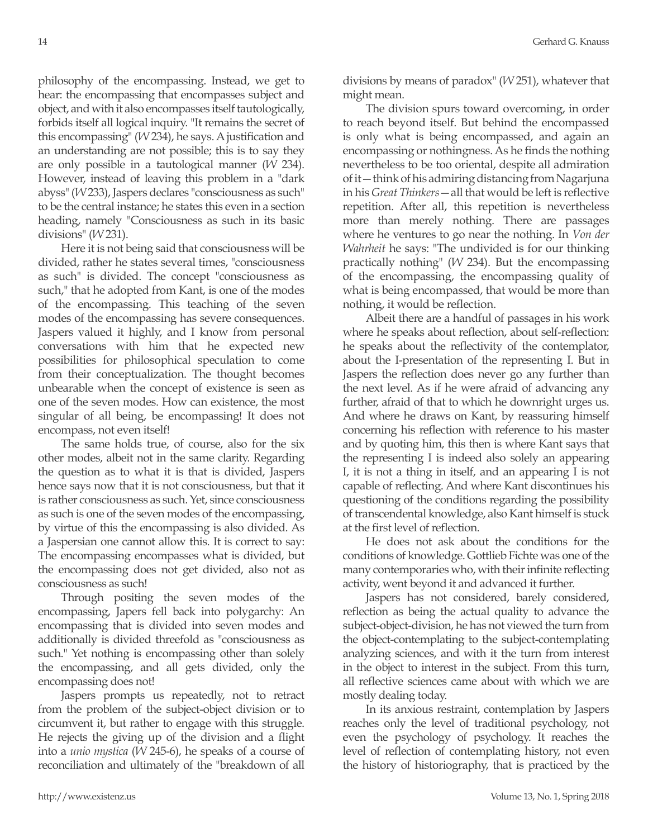philosophy of the encompassing. Instead, we get to hear: the encompassing that encompasses subject and object, and with it also encompasses itself tautologically, forbids itself all logical inquiry. "It remains the secret of this encompassing" (*W* 234), he says. A justification and an understanding are not possible; this is to say they are only possible in a tautological manner (*W* 234). However, instead of leaving this problem in a "dark abyss" (*W* 233), Jaspers declares "consciousness as such" to be the central instance; he states this even in a section heading, namely "Consciousness as such in its basic divisions" (*W* 231).

Here it is not being said that consciousness will be divided, rather he states several times, "consciousness as such" is divided. The concept "consciousness as such," that he adopted from Kant, is one of the modes of the encompassing. This teaching of the seven modes of the encompassing has severe consequences. Jaspers valued it highly, and I know from personal conversations with him that he expected new possibilities for philosophical speculation to come from their conceptualization. The thought becomes unbearable when the concept of existence is seen as one of the seven modes. How can existence, the most singular of all being, be encompassing! It does not encompass, not even itself!

The same holds true, of course, also for the six other modes, albeit not in the same clarity. Regarding the question as to what it is that is divided, Jaspers hence says now that it is not consciousness, but that it is rather consciousness as such. Yet, since consciousness as such is one of the seven modes of the encompassing, by virtue of this the encompassing is also divided. As a Jaspersian one cannot allow this. It is correct to say: The encompassing encompasses what is divided, but the encompassing does not get divided, also not as consciousness as such!

Through positing the seven modes of the encompassing, Japers fell back into polygarchy: An encompassing that is divided into seven modes and additionally is divided threefold as "consciousness as such." Yet nothing is encompassing other than solely the encompassing, and all gets divided, only the encompassing does not!

Jaspers prompts us repeatedly, not to retract from the problem of the subject-object division or to circumvent it, but rather to engage with this struggle. He rejects the giving up of the division and a flight into a *unio mystica* (*W* 245-6), he speaks of a course of reconciliation and ultimately of the "breakdown of all divisions by means of paradox" (*W* 251), whatever that might mean.

The division spurs toward overcoming, in order to reach beyond itself. But behind the encompassed is only what is being encompassed, and again an encompassing or nothingness. As he finds the nothing nevertheless to be too oriental, despite all admiration of it—think of his admiring distancing from Nagarjuna in his *Great Thinkers*—all that would be left is reflective repetition. After all, this repetition is nevertheless more than merely nothing. There are passages where he ventures to go near the nothing. In *Von der Wahrheit* he says: "The undivided is for our thinking practically nothing" (*W* 234). But the encompassing of the encompassing, the encompassing quality of what is being encompassed, that would be more than nothing, it would be reflection.

Albeit there are a handful of passages in his work where he speaks about reflection, about self-reflection: he speaks about the reflectivity of the contemplator, about the I-presentation of the representing I. But in Jaspers the reflection does never go any further than the next level. As if he were afraid of advancing any further, afraid of that to which he downright urges us. And where he draws on Kant, by reassuring himself concerning his reflection with reference to his master and by quoting him, this then is where Kant says that the representing I is indeed also solely an appearing I, it is not a thing in itself, and an appearing I is not capable of reflecting. And where Kant discontinues his questioning of the conditions regarding the possibility of transcendental knowledge, also Kant himself is stuck at the first level of reflection.

He does not ask about the conditions for the conditions of knowledge. Gottlieb Fichte was one of the many contemporaries who, with their infinite reflecting activity, went beyond it and advanced it further.

Jaspers has not considered, barely considered, reflection as being the actual quality to advance the subject-object-division, he has not viewed the turn from the object-contemplating to the subject-contemplating analyzing sciences, and with it the turn from interest in the object to interest in the subject. From this turn, all reflective sciences came about with which we are mostly dealing today.

In its anxious restraint, contemplation by Jaspers reaches only the level of traditional psychology, not even the psychology of psychology. It reaches the level of reflection of contemplating history, not even the history of historiography, that is practiced by the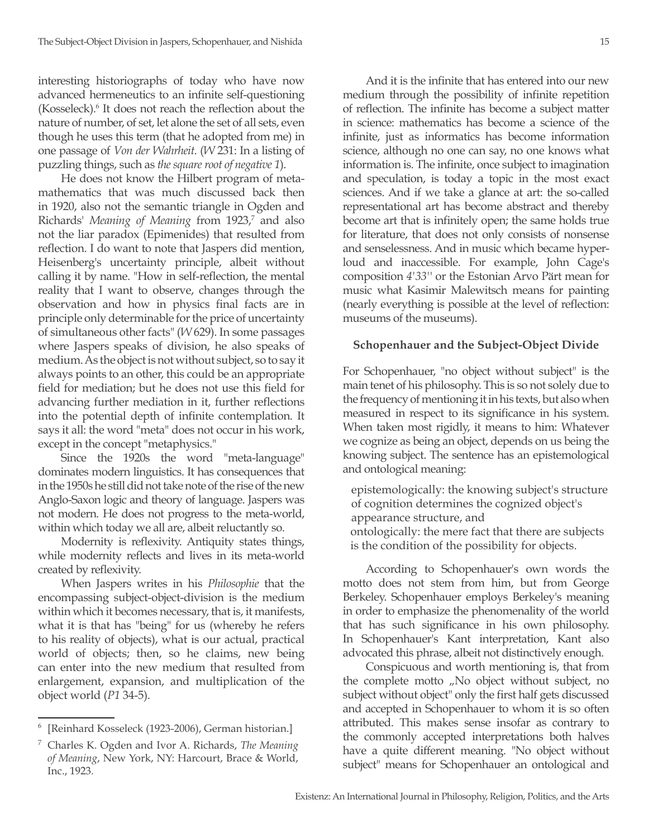interesting historiographs of today who have now advanced hermeneutics to an infinite self-questioning (Kosseleck).<sup>6</sup> It does not reach the reflection about the nature of number, of set, let alone the set of all sets, even though he uses this term (that he adopted from me) in one passage of *Von der Wahrheit*. (*W* 231: In a listing of puzzling things, such as *the square root of negative 1*).

He does not know the Hilbert program of metamathematics that was much discussed back then in 1920, also not the semantic triangle in Ogden and Richards' *Meaning of Meaning* from 1923,7 and also not the liar paradox (Epimenides) that resulted from reflection. I do want to note that Jaspers did mention, Heisenberg's uncertainty principle, albeit without calling it by name. "How in self-reflection, the mental reality that I want to observe, changes through the observation and how in physics final facts are in principle only determinable for the price of uncertainty of simultaneous other facts" (*W* 629). In some passages where Jaspers speaks of division, he also speaks of medium. As the object is not without subject, so to say it always points to an other, this could be an appropriate field for mediation; but he does not use this field for advancing further mediation in it, further reflections into the potential depth of infinite contemplation. It says it all: the word "meta" does not occur in his work, except in the concept "metaphysics."

Since the 1920s the word "meta-language" dominates modern linguistics. It has consequences that in the 1950s he still did not take note of the rise of the new Anglo-Saxon logic and theory of language. Jaspers was not modern. He does not progress to the meta-world, within which today we all are, albeit reluctantly so.

Modernity is reflexivity. Antiquity states things, while modernity reflects and lives in its meta-world created by reflexivity.

When Jaspers writes in his *Philosophie* that the encompassing subject-object-division is the medium within which it becomes necessary, that is, it manifests, what it is that has "being" for us (whereby he refers to his reality of objects), what is our actual, practical world of objects; then, so he claims, new being can enter into the new medium that resulted from enlargement, expansion, and multiplication of the object world (*P1* 34-5).

And it is the infinite that has entered into our new medium through the possibility of infinite repetition of reflection. The infinite has become a subject matter in science: mathematics has become a science of the infinite, just as informatics has become information science, although no one can say, no one knows what information is. The infinite, once subject to imagination and speculation, is today a topic in the most exact sciences. And if we take a glance at art: the so-called representational art has become abstract and thereby become art that is infinitely open; the same holds true for literature, that does not only consists of nonsense and senselessness. And in music which became hyperloud and inaccessible. For example, John Cage's composition *4'33'*' or the Estonian Arvo Pärt mean for music what Kasimir Malewitsch means for painting (nearly everything is possible at the level of reflection: museums of the museums).

## **Schopenhauer and the Subject-Object Divide**

For Schopenhauer, "no object without subject" is the main tenet of his philosophy. This is so not solely due to the frequency of mentioning it in his texts, but also when measured in respect to its significance in his system. When taken most rigidly, it means to him: Whatever we cognize as being an object, depends on us being the knowing subject. The sentence has an epistemological and ontological meaning:

epistemologically: the knowing subject's structure of cognition determines the cognized object's appearance structure, and ontologically: the mere fact that there are subjects

is the condition of the possibility for objects.

According to Schopenhauer's own words the motto does not stem from him, but from George Berkeley. Schopenhauer employs Berkeley's meaning in order to emphasize the phenomenality of the world that has such significance in his own philosophy. In Schopenhauer's Kant interpretation, Kant also advocated this phrase, albeit not distinctively enough.

Conspicuous and worth mentioning is, that from the complete motto "No object without subject, no subject without object" only the first half gets discussed and accepted in Schopenhauer to whom it is so often attributed. This makes sense insofar as contrary to the commonly accepted interpretations both halves have a quite different meaning. "No object without subject" means for Schopenhauer an ontological and

<sup>6</sup> [Reinhard Kosseleck (1923-2006), German historian.]

<sup>7</sup> Charles K. Ogden and Ivor A. Richards, *The Meaning of Meaning*, New York, NY: Harcourt, Brace & World, Inc., 1923.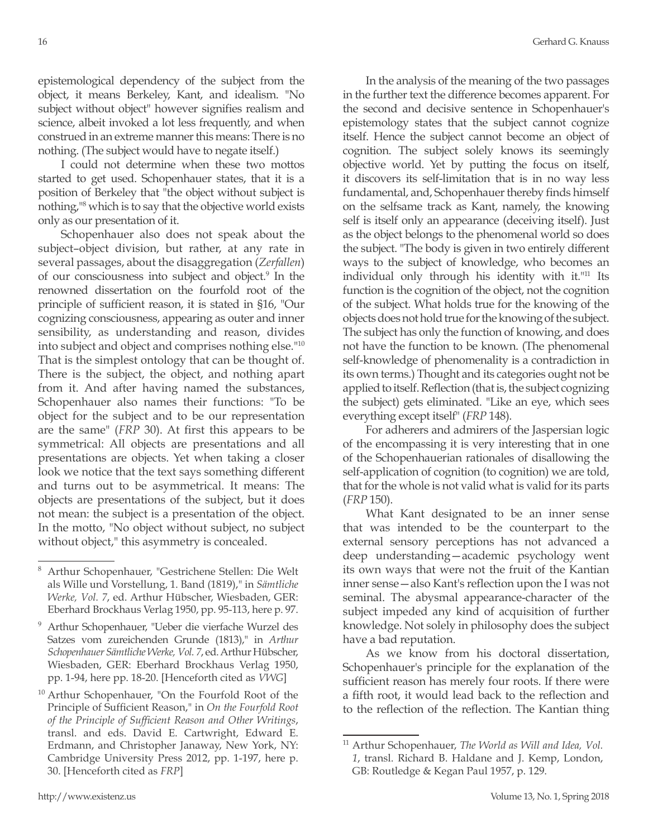epistemological dependency of the subject from the object, it means Berkeley, Kant, and idealism. "No subject without object" however signifies realism and science, albeit invoked a lot less frequently, and when construed in an extreme manner this means: There is no nothing. (The subject would have to negate itself.)

I could not determine when these two mottos started to get used. Schopenhauer states, that it is a position of Berkeley that "the object without subject is nothing,<sup>18</sup> which is to say that the objective world exists only as our presentation of it.

Schopenhauer also does not speak about the subject–object division, but rather, at any rate in several passages, about the disaggregation (*Zerfallen*) of our consciousness into subject and object.<sup>9</sup> In the renowned dissertation on the fourfold root of the principle of sufficient reason, it is stated in §16, "Our cognizing consciousness, appearing as outer and inner sensibility, as understanding and reason, divides into subject and object and comprises nothing else."10 That is the simplest ontology that can be thought of. There is the subject, the object, and nothing apart from it. And after having named the substances, Schopenhauer also names their functions: "To be object for the subject and to be our representation are the same" (*FRP* 30). At first this appears to be symmetrical: All objects are presentations and all presentations are objects. Yet when taking a closer look we notice that the text says something different and turns out to be asymmetrical. It means: The objects are presentations of the subject, but it does not mean: the subject is a presentation of the object. In the motto, "No object without subject, no subject without object," this asymmetry is concealed.

In the analysis of the meaning of the two passages in the further text the difference becomes apparent. For the second and decisive sentence in Schopenhauer's epistemology states that the subject cannot cognize itself. Hence the subject cannot become an object of cognition. The subject solely knows its seemingly objective world. Yet by putting the focus on itself, it discovers its self-limitation that is in no way less fundamental, and, Schopenhauer thereby finds himself on the selfsame track as Kant, namely, the knowing self is itself only an appearance (deceiving itself). Just as the object belongs to the phenomenal world so does the subject. "The body is given in two entirely different ways to the subject of knowledge, who becomes an individual only through his identity with it."11 Its function is the cognition of the object, not the cognition of the subject. What holds true for the knowing of the objects does not hold true for the knowing of the subject. The subject has only the function of knowing, and does not have the function to be known. (The phenomenal self-knowledge of phenomenality is a contradiction in its own terms.) Thought and its categories ought not be applied to itself. Reflection (that is, the subject cognizing the subject) gets eliminated. "Like an eye, which sees everything except itself" (*FRP* 148).

For adherers and admirers of the Jaspersian logic of the encompassing it is very interesting that in one of the Schopenhauerian rationales of disallowing the self-application of cognition (to cognition) we are told, that for the whole is not valid what is valid for its parts (*FRP* 150).

What Kant designated to be an inner sense that was intended to be the counterpart to the external sensory perceptions has not advanced a deep understanding—academic psychology went its own ways that were not the fruit of the Kantian inner sense—also Kant's reflection upon the I was not seminal. The abysmal appearance-character of the subject impeded any kind of acquisition of further knowledge. Not solely in philosophy does the subject have a bad reputation.

As we know from his doctoral dissertation, Schopenhauer's principle for the explanation of the sufficient reason has merely four roots. If there were a fifth root, it would lead back to the reflection and to the reflection of the reflection. The Kantian thing

<sup>8</sup> Arthur Schopenhauer, "Gestrichene Stellen: Die Welt als Wille und Vorstellung, 1. Band (1819)," in *Sämtliche Werke, Vol. 7*, ed. Arthur Hübscher, Wiesbaden, GER: Eberhard Brockhaus Verlag 1950, pp. 95-113, here p. 97.

<sup>9</sup> Arthur Schopenhauer, "Ueber die vierfache Wurzel des Satzes vom zureichenden Grunde (1813)," in *Arthur Schopenhauer Sämtliche Werke, Vol. 7*, ed. Arthur Hübscher, Wiesbaden, GER: Eberhard Brockhaus Verlag 1950, pp. 1-94, here pp. 18-20. [Henceforth cited as *VWG*]

<sup>10</sup> Arthur Schopenhauer, "On the Fourfold Root of the Principle of Sufficient Reason," in *On the Fourfold Root of the Principle of Sufficient Reason and Other Writings*, transl. and eds. David E. Cartwright, Edward E. Erdmann, and Christopher Janaway, New York, NY: Cambridge University Press 2012, pp. 1-197, here p. 30. [Henceforth cited as *FRP*]

<sup>11</sup> Arthur Schopenhauer, *The World as Will and Idea, Vol. 1*, transl. Richard B. Haldane and J. Kemp, London, GB: Routledge & Kegan Paul 1957, p. 129.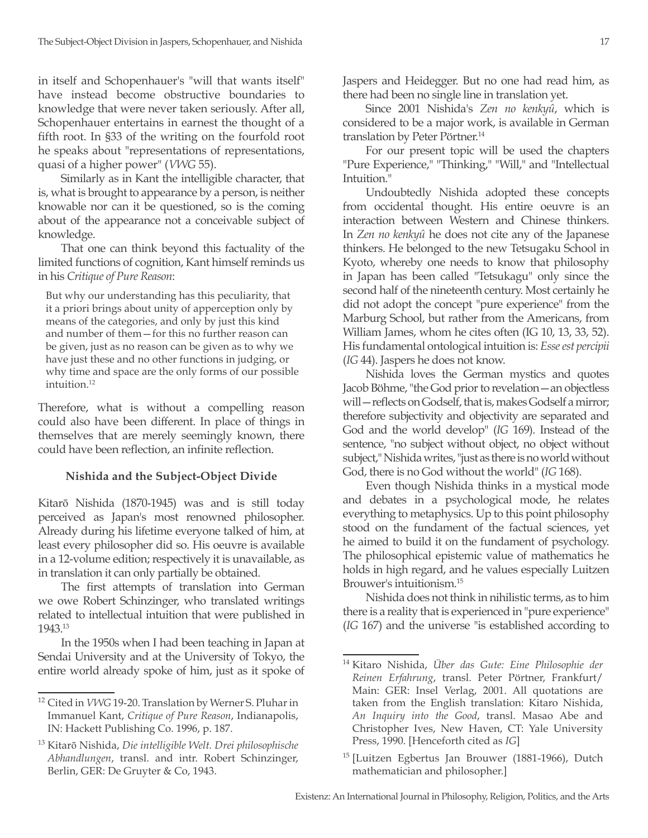in itself and Schopenhauer's "will that wants itself" have instead become obstructive boundaries to knowledge that were never taken seriously. After all, Schopenhauer entertains in earnest the thought of a fifth root. In §33 of the writing on the fourfold root he speaks about "representations of representations, quasi of a higher power" (*VWG* 55).

Similarly as in Kant the intelligible character, that is, what is brought to appearance by a person, is neither knowable nor can it be questioned, so is the coming about of the appearance not a conceivable subject of knowledge.

That one can think beyond this factuality of the limited functions of cognition, Kant himself reminds us in his *Critique of Pure Reason*:

But why our understanding has this peculiarity, that it a priori brings about unity of apperception only by means of the categories, and only by just this kind and number of them—for this no further reason can be given, just as no reason can be given as to why we have just these and no other functions in judging, or why time and space are the only forms of our possible intuition.<sup>12</sup>

Therefore, what is without a compelling reason could also have been different. In place of things in themselves that are merely seemingly known, there could have been reflection, an infinite reflection.

## **Nishida and the Subject-Object Divide**

Kitarō Nishida (1870-1945) was and is still today perceived as Japan's most renowned philosopher. Already during his lifetime everyone talked of him, at least every philosopher did so. His oeuvre is available in a 12-volume edition; respectively it is unavailable, as in translation it can only partially be obtained.

The first attempts of translation into German we owe Robert Schinzinger, who translated writings related to intellectual intuition that were published in 1943.13

In the 1950s when I had been teaching in Japan at Sendai University and at the University of Tokyo, the entire world already spoke of him, just as it spoke of Jaspers and Heidegger. But no one had read him, as there had been no single line in translation yet.

Since 2001 Nishida's *Zen no kenkyû*, which is considered to be a major work, is available in German translation by Peter Pörtner.<sup>14</sup>

For our present topic will be used the chapters "Pure Experience," "Thinking," "Will," and "Intellectual Intuition."

Undoubtedly Nishida adopted these concepts from occidental thought. His entire oeuvre is an interaction between Western and Chinese thinkers. In *Zen no kenkyû* he does not cite any of the Japanese thinkers. He belonged to the new Tetsugaku School in Kyoto, whereby one needs to know that philosophy in Japan has been called "Tetsukagu" only since the second half of the nineteenth century. Most certainly he did not adopt the concept "pure experience" from the Marburg School, but rather from the Americans, from William James, whom he cites often (IG 10, 13, 33, 52). His fundamental ontological intuition is: *Esse est percipii*  (*IG* 44). Jaspers he does not know.

Nishida loves the German mystics and quotes Jacob Böhme, "the God prior to revelation—an objectless will—reflects on Godself, that is, makes Godself a mirror; therefore subjectivity and objectivity are separated and God and the world develop" (*IG* 169). Instead of the sentence, "no subject without object, no object without subject," Nishida writes, "just as there is no world without God, there is no God without the world" (*IG* 168).

Even though Nishida thinks in a mystical mode and debates in a psychological mode, he relates everything to metaphysics. Up to this point philosophy stood on the fundament of the factual sciences, yet he aimed to build it on the fundament of psychology. The philosophical epistemic value of mathematics he holds in high regard, and he values especially Luitzen Brouwer's intuitionism.15

Nishida does not think in nihilistic terms, as to him there is a reality that is experienced in "pure experience" (*IG* 167) and the universe "is established according to

<sup>12</sup> Cited in *VWG* 19-20. Translation by Werner S. Pluhar in Immanuel Kant, *Critique of Pure Reason*, Indianapolis, IN: Hackett Publishing Co. 1996, p. 187.

<sup>13</sup> Kitarō Nishida, *Die intelligible Welt. Drei philosophische Abhandlungen*, transl. and intr. Robert Schinzinger, Berlin, GER: De Gruyter & Co, 1943.

<sup>14</sup> Kitaro Nishida, *Über das Gute: Eine Philosophie der Reinen Erfahrung*, transl. Peter Pörtner, Frankfurt/ Main: GER: Insel Verlag, 2001. All quotations are taken from the English translation: Kitaro Nishida, *An Inquiry into the Good*, transl. Masao Abe and Christopher Ives, New Haven, CT: Yale University Press, 1990. [Henceforth cited as *IG*]

<sup>15</sup> [Luitzen Egbertus Jan Brouwer (1881-1966), Dutch mathematician and philosopher.]